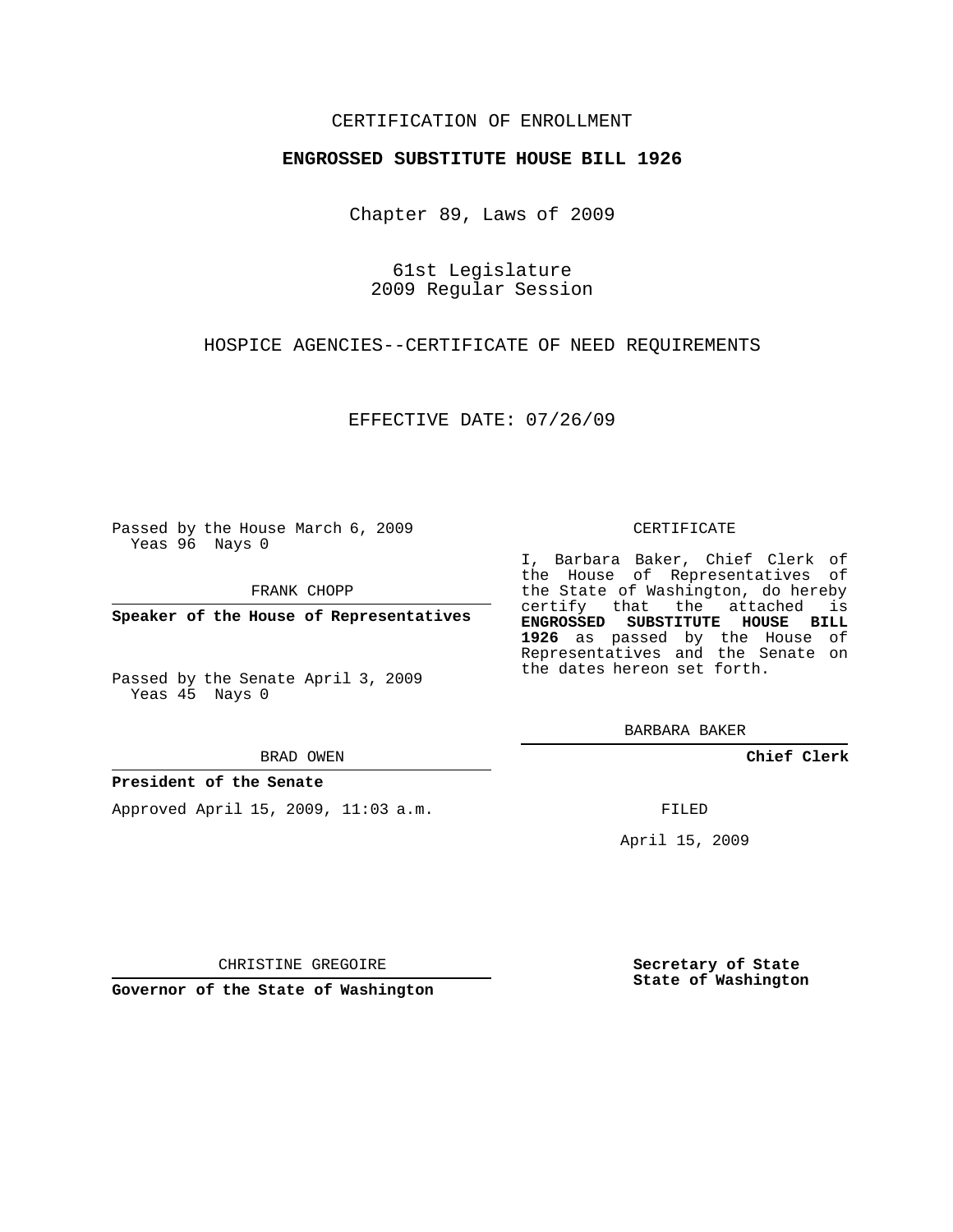## CERTIFICATION OF ENROLLMENT

### **ENGROSSED SUBSTITUTE HOUSE BILL 1926**

Chapter 89, Laws of 2009

61st Legislature 2009 Regular Session

HOSPICE AGENCIES--CERTIFICATE OF NEED REQUIREMENTS

EFFECTIVE DATE: 07/26/09

Passed by the House March 6, 2009 Yeas 96 Nays 0

FRANK CHOPP

**Speaker of the House of Representatives**

Passed by the Senate April 3, 2009 Yeas 45 Nays 0

BRAD OWEN

### **President of the Senate**

Approved April 15, 2009, 11:03 a.m.

#### CERTIFICATE

I, Barbara Baker, Chief Clerk of the House of Representatives of the State of Washington, do hereby certify that the attached is **ENGROSSED SUBSTITUTE HOUSE BILL 1926** as passed by the House of Representatives and the Senate on the dates hereon set forth.

BARBARA BAKER

**Chief Clerk**

FILED

April 15, 2009

**Secretary of State State of Washington**

CHRISTINE GREGOIRE

**Governor of the State of Washington**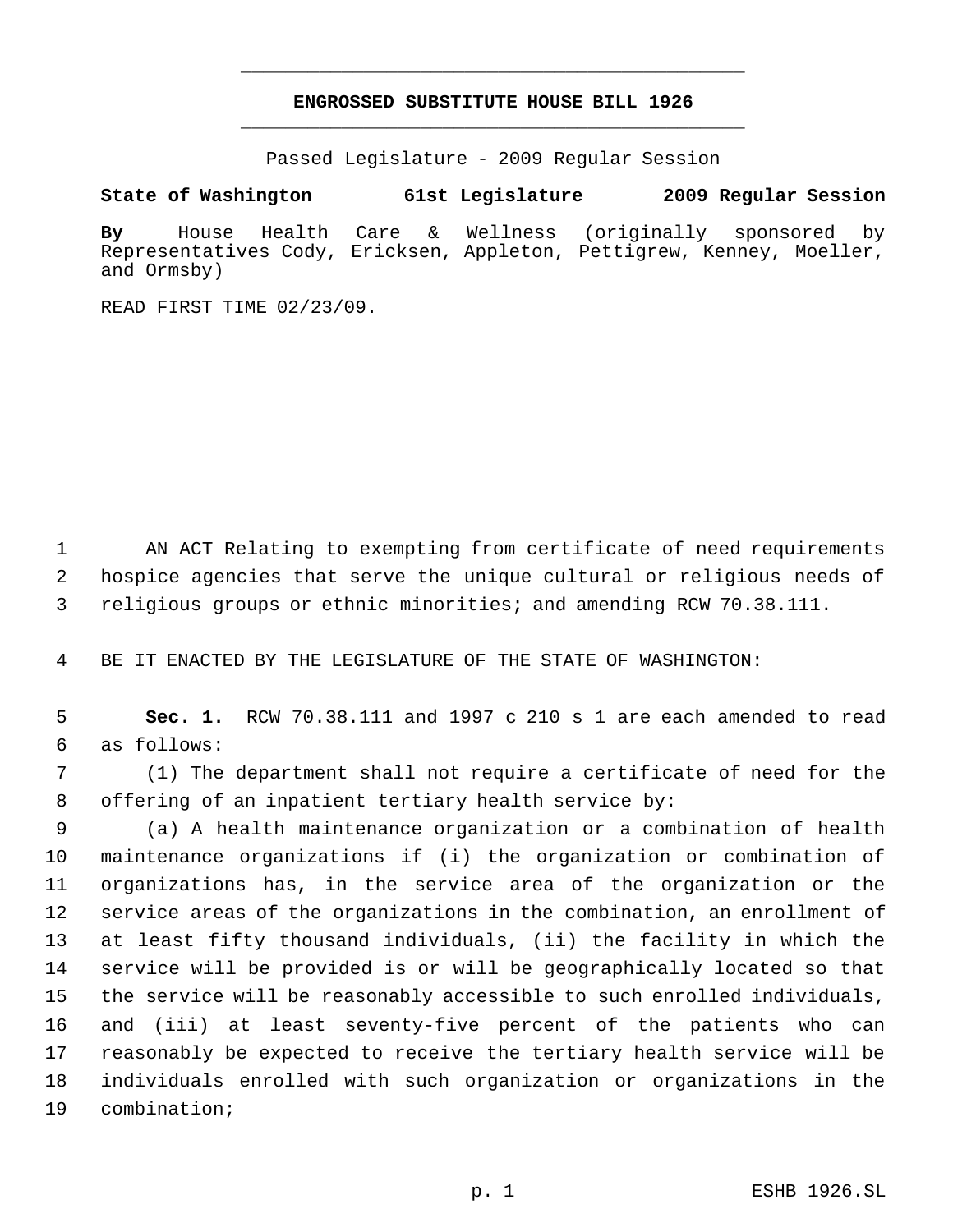# **ENGROSSED SUBSTITUTE HOUSE BILL 1926** \_\_\_\_\_\_\_\_\_\_\_\_\_\_\_\_\_\_\_\_\_\_\_\_\_\_\_\_\_\_\_\_\_\_\_\_\_\_\_\_\_\_\_\_\_

\_\_\_\_\_\_\_\_\_\_\_\_\_\_\_\_\_\_\_\_\_\_\_\_\_\_\_\_\_\_\_\_\_\_\_\_\_\_\_\_\_\_\_\_\_

Passed Legislature - 2009 Regular Session

**State of Washington 61st Legislature 2009 Regular Session**

**By** House Health Care & Wellness (originally sponsored by Representatives Cody, Ericksen, Appleton, Pettigrew, Kenney, Moeller, and Ormsby)

READ FIRST TIME 02/23/09.

 AN ACT Relating to exempting from certificate of need requirements hospice agencies that serve the unique cultural or religious needs of religious groups or ethnic minorities; and amending RCW 70.38.111.

BE IT ENACTED BY THE LEGISLATURE OF THE STATE OF WASHINGTON:

 **Sec. 1.** RCW 70.38.111 and 1997 c 210 s 1 are each amended to read as follows:

 (1) The department shall not require a certificate of need for the offering of an inpatient tertiary health service by:

 (a) A health maintenance organization or a combination of health maintenance organizations if (i) the organization or combination of organizations has, in the service area of the organization or the service areas of the organizations in the combination, an enrollment of at least fifty thousand individuals, (ii) the facility in which the service will be provided is or will be geographically located so that the service will be reasonably accessible to such enrolled individuals, and (iii) at least seventy-five percent of the patients who can reasonably be expected to receive the tertiary health service will be individuals enrolled with such organization or organizations in the combination;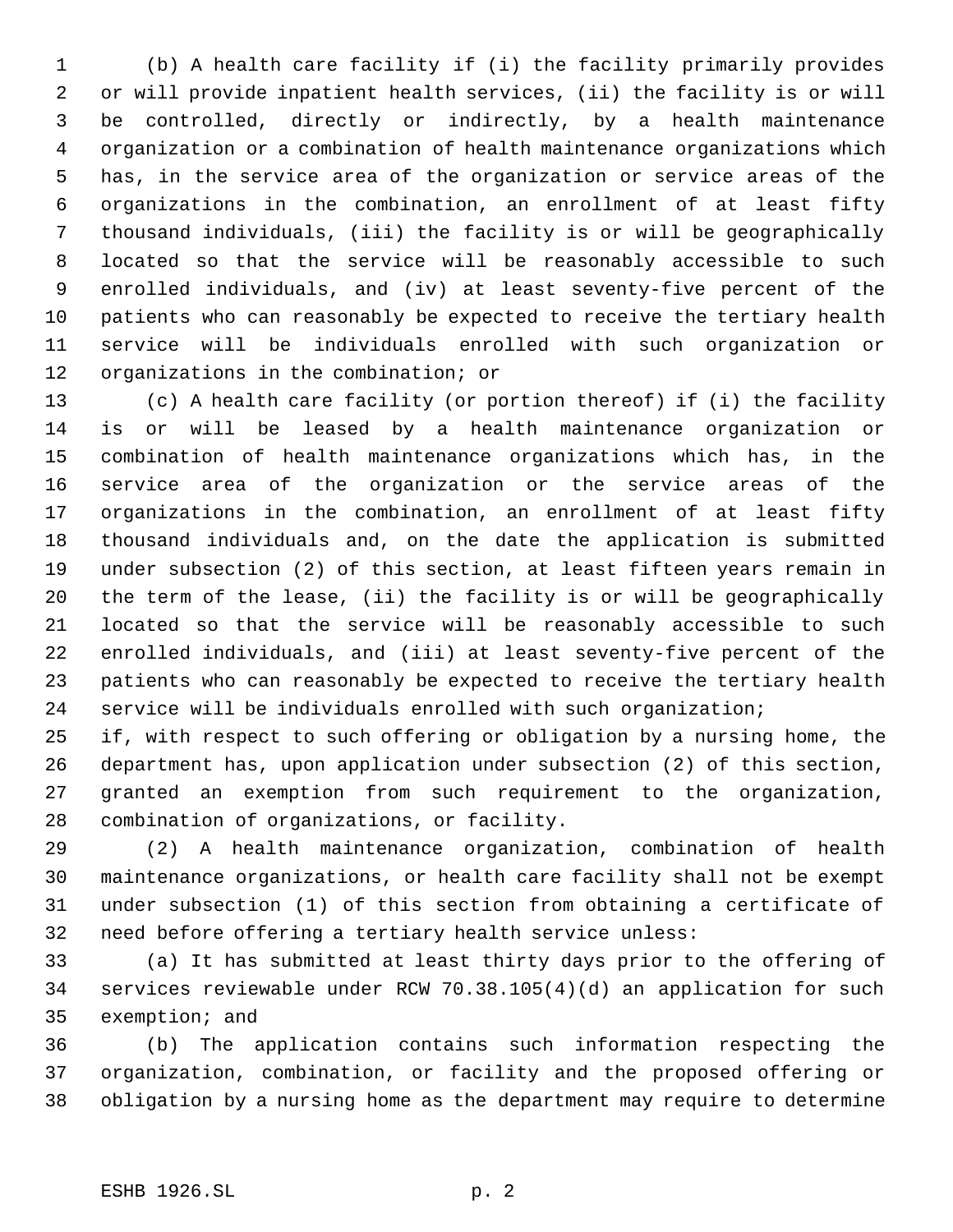(b) A health care facility if (i) the facility primarily provides or will provide inpatient health services, (ii) the facility is or will be controlled, directly or indirectly, by a health maintenance organization or a combination of health maintenance organizations which has, in the service area of the organization or service areas of the organizations in the combination, an enrollment of at least fifty thousand individuals, (iii) the facility is or will be geographically located so that the service will be reasonably accessible to such enrolled individuals, and (iv) at least seventy-five percent of the patients who can reasonably be expected to receive the tertiary health service will be individuals enrolled with such organization or organizations in the combination; or

 (c) A health care facility (or portion thereof) if (i) the facility is or will be leased by a health maintenance organization or combination of health maintenance organizations which has, in the service area of the organization or the service areas of the organizations in the combination, an enrollment of at least fifty thousand individuals and, on the date the application is submitted under subsection (2) of this section, at least fifteen years remain in the term of the lease, (ii) the facility is or will be geographically located so that the service will be reasonably accessible to such enrolled individuals, and (iii) at least seventy-five percent of the patients who can reasonably be expected to receive the tertiary health service will be individuals enrolled with such organization;

 if, with respect to such offering or obligation by a nursing home, the department has, upon application under subsection (2) of this section, granted an exemption from such requirement to the organization, combination of organizations, or facility.

 (2) A health maintenance organization, combination of health maintenance organizations, or health care facility shall not be exempt under subsection (1) of this section from obtaining a certificate of need before offering a tertiary health service unless:

 (a) It has submitted at least thirty days prior to the offering of services reviewable under RCW 70.38.105(4)(d) an application for such exemption; and

 (b) The application contains such information respecting the organization, combination, or facility and the proposed offering or obligation by a nursing home as the department may require to determine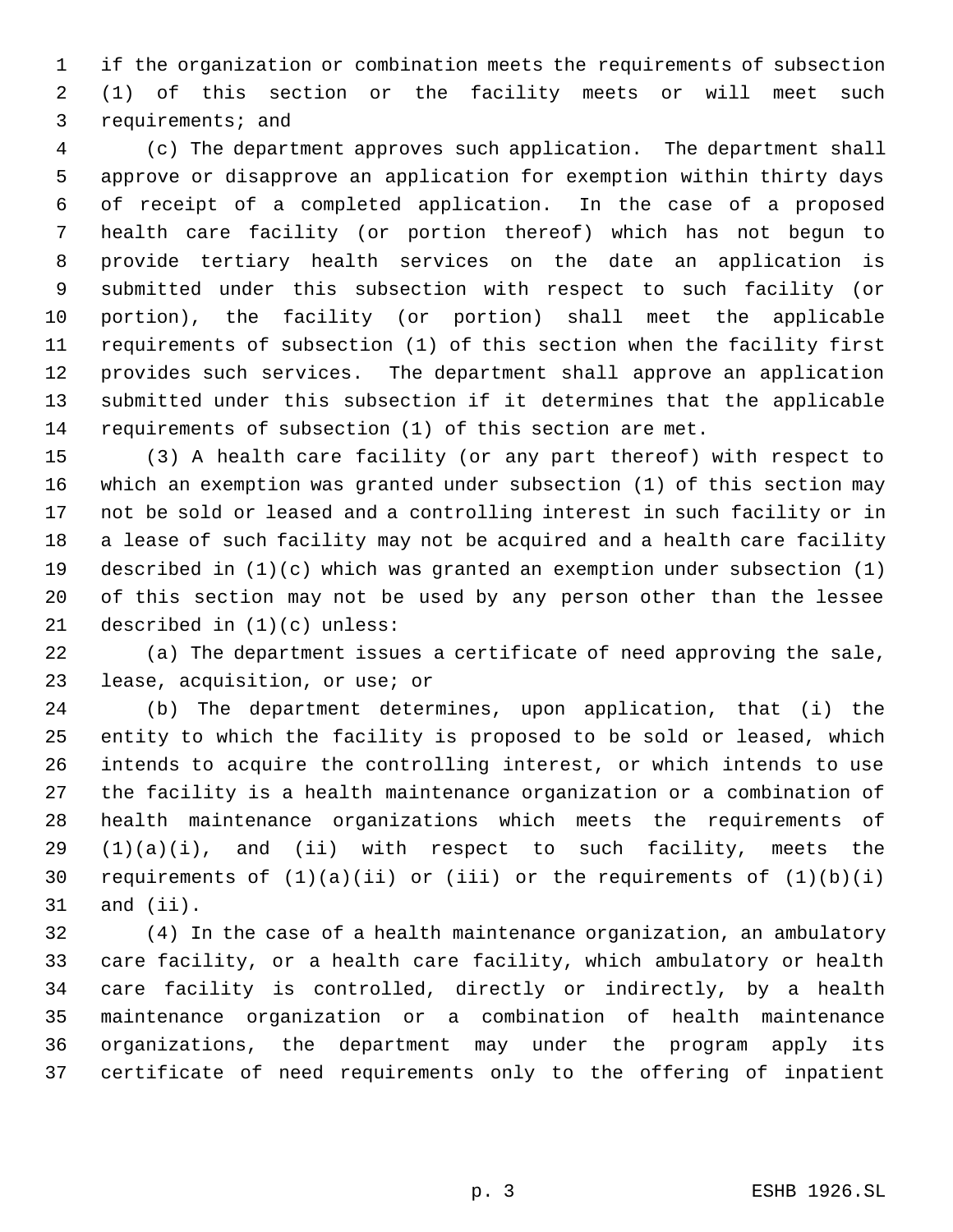if the organization or combination meets the requirements of subsection (1) of this section or the facility meets or will meet such requirements; and

 (c) The department approves such application. The department shall approve or disapprove an application for exemption within thirty days of receipt of a completed application. In the case of a proposed health care facility (or portion thereof) which has not begun to provide tertiary health services on the date an application is submitted under this subsection with respect to such facility (or portion), the facility (or portion) shall meet the applicable requirements of subsection (1) of this section when the facility first provides such services. The department shall approve an application submitted under this subsection if it determines that the applicable requirements of subsection (1) of this section are met.

 (3) A health care facility (or any part thereof) with respect to which an exemption was granted under subsection (1) of this section may not be sold or leased and a controlling interest in such facility or in a lease of such facility may not be acquired and a health care facility described in (1)(c) which was granted an exemption under subsection (1) of this section may not be used by any person other than the lessee described in (1)(c) unless:

 (a) The department issues a certificate of need approving the sale, lease, acquisition, or use; or

 (b) The department determines, upon application, that (i) the entity to which the facility is proposed to be sold or leased, which intends to acquire the controlling interest, or which intends to use the facility is a health maintenance organization or a combination of health maintenance organizations which meets the requirements of  $(1)(a)(i)$ , and  $(ii)$  with respect to such facility, meets the 30 requirements of  $(1)(a)(ii)$  or  $(iii)$  or the requirements of  $(1)(b)(i)$ and (ii).

 (4) In the case of a health maintenance organization, an ambulatory care facility, or a health care facility, which ambulatory or health care facility is controlled, directly or indirectly, by a health maintenance organization or a combination of health maintenance organizations, the department may under the program apply its certificate of need requirements only to the offering of inpatient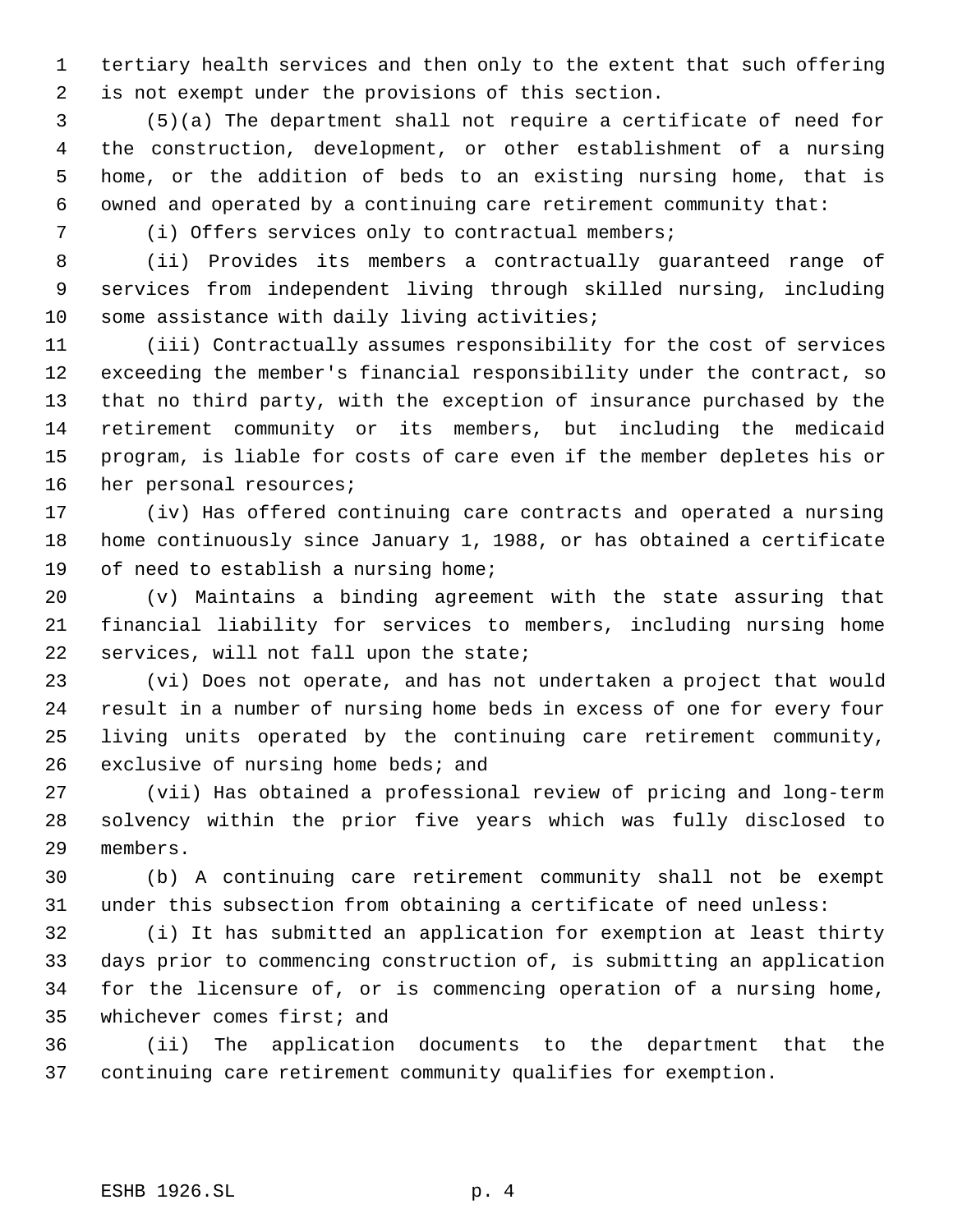tertiary health services and then only to the extent that such offering is not exempt under the provisions of this section.

 (5)(a) The department shall not require a certificate of need for the construction, development, or other establishment of a nursing home, or the addition of beds to an existing nursing home, that is owned and operated by a continuing care retirement community that:

(i) Offers services only to contractual members;

 (ii) Provides its members a contractually guaranteed range of services from independent living through skilled nursing, including 10 some assistance with daily living activities;

 (iii) Contractually assumes responsibility for the cost of services exceeding the member's financial responsibility under the contract, so that no third party, with the exception of insurance purchased by the retirement community or its members, but including the medicaid program, is liable for costs of care even if the member depletes his or her personal resources;

 (iv) Has offered continuing care contracts and operated a nursing home continuously since January 1, 1988, or has obtained a certificate 19 of need to establish a nursing home;

 (v) Maintains a binding agreement with the state assuring that financial liability for services to members, including nursing home services, will not fall upon the state;

 (vi) Does not operate, and has not undertaken a project that would result in a number of nursing home beds in excess of one for every four living units operated by the continuing care retirement community, exclusive of nursing home beds; and

 (vii) Has obtained a professional review of pricing and long-term solvency within the prior five years which was fully disclosed to members.

 (b) A continuing care retirement community shall not be exempt under this subsection from obtaining a certificate of need unless:

 (i) It has submitted an application for exemption at least thirty days prior to commencing construction of, is submitting an application for the licensure of, or is commencing operation of a nursing home, whichever comes first; and

 (ii) The application documents to the department that the continuing care retirement community qualifies for exemption.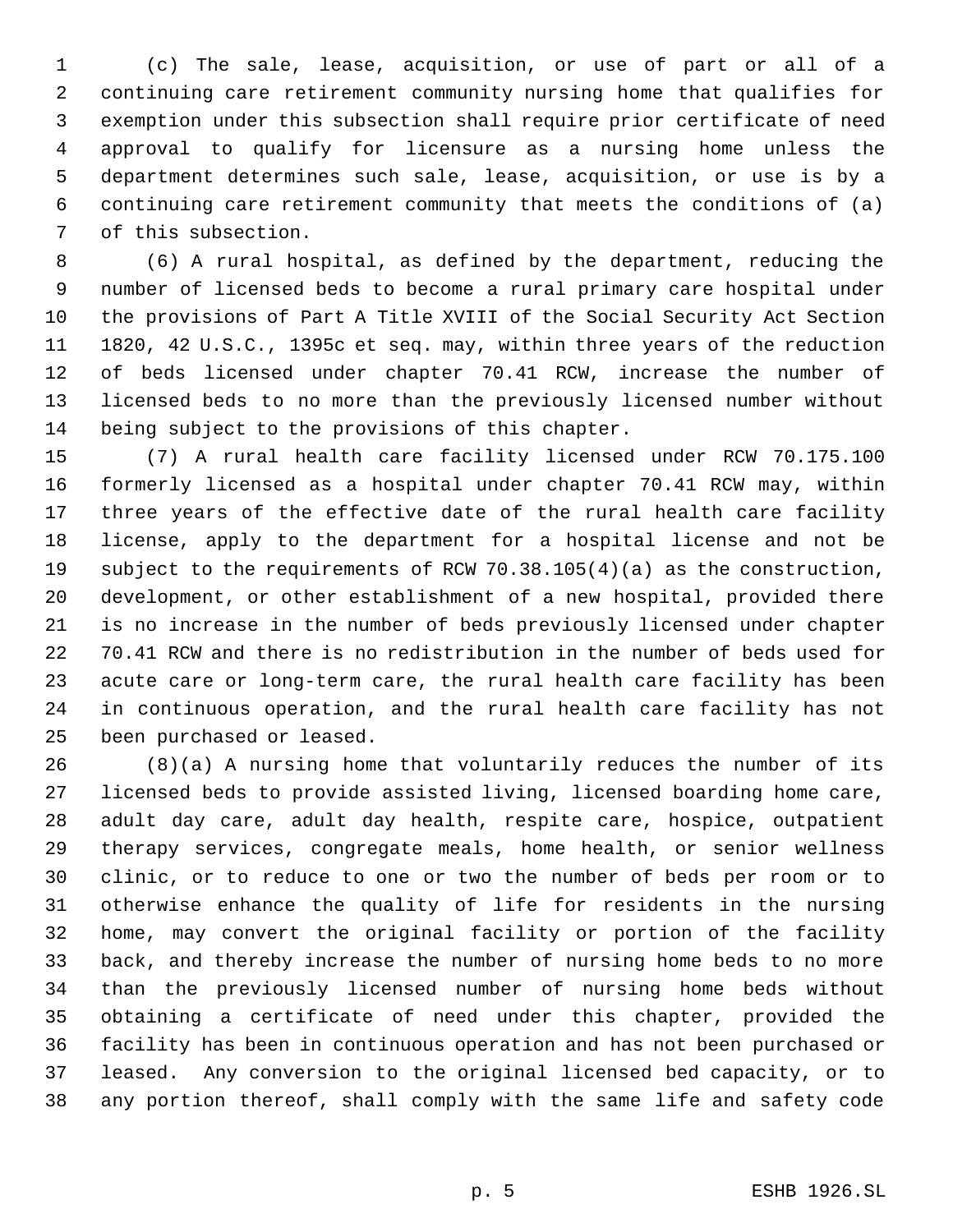(c) The sale, lease, acquisition, or use of part or all of a continuing care retirement community nursing home that qualifies for exemption under this subsection shall require prior certificate of need approval to qualify for licensure as a nursing home unless the department determines such sale, lease, acquisition, or use is by a continuing care retirement community that meets the conditions of (a) of this subsection.

 (6) A rural hospital, as defined by the department, reducing the number of licensed beds to become a rural primary care hospital under the provisions of Part A Title XVIII of the Social Security Act Section 1820, 42 U.S.C., 1395c et seq. may, within three years of the reduction of beds licensed under chapter 70.41 RCW, increase the number of licensed beds to no more than the previously licensed number without being subject to the provisions of this chapter.

 (7) A rural health care facility licensed under RCW 70.175.100 formerly licensed as a hospital under chapter 70.41 RCW may, within three years of the effective date of the rural health care facility license, apply to the department for a hospital license and not be subject to the requirements of RCW 70.38.105(4)(a) as the construction, development, or other establishment of a new hospital, provided there is no increase in the number of beds previously licensed under chapter 70.41 RCW and there is no redistribution in the number of beds used for acute care or long-term care, the rural health care facility has been in continuous operation, and the rural health care facility has not been purchased or leased.

 (8)(a) A nursing home that voluntarily reduces the number of its licensed beds to provide assisted living, licensed boarding home care, adult day care, adult day health, respite care, hospice, outpatient therapy services, congregate meals, home health, or senior wellness clinic, or to reduce to one or two the number of beds per room or to otherwise enhance the quality of life for residents in the nursing home, may convert the original facility or portion of the facility back, and thereby increase the number of nursing home beds to no more than the previously licensed number of nursing home beds without obtaining a certificate of need under this chapter, provided the facility has been in continuous operation and has not been purchased or leased. Any conversion to the original licensed bed capacity, or to any portion thereof, shall comply with the same life and safety code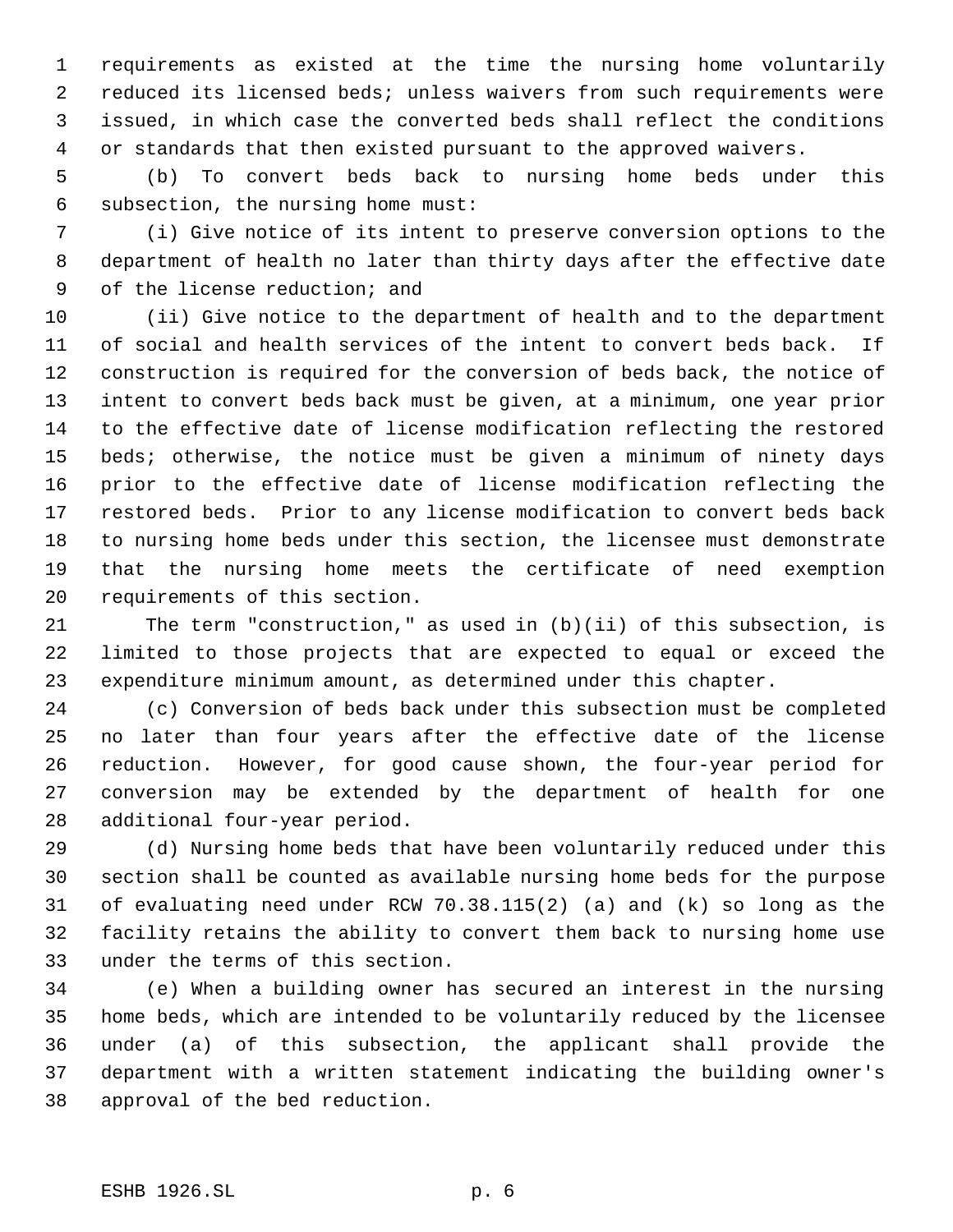requirements as existed at the time the nursing home voluntarily reduced its licensed beds; unless waivers from such requirements were issued, in which case the converted beds shall reflect the conditions or standards that then existed pursuant to the approved waivers.

 (b) To convert beds back to nursing home beds under this subsection, the nursing home must:

 (i) Give notice of its intent to preserve conversion options to the department of health no later than thirty days after the effective date of the license reduction; and

 (ii) Give notice to the department of health and to the department of social and health services of the intent to convert beds back. If construction is required for the conversion of beds back, the notice of intent to convert beds back must be given, at a minimum, one year prior to the effective date of license modification reflecting the restored beds; otherwise, the notice must be given a minimum of ninety days prior to the effective date of license modification reflecting the restored beds. Prior to any license modification to convert beds back to nursing home beds under this section, the licensee must demonstrate that the nursing home meets the certificate of need exemption requirements of this section.

 The term "construction," as used in (b)(ii) of this subsection, is limited to those projects that are expected to equal or exceed the expenditure minimum amount, as determined under this chapter.

 (c) Conversion of beds back under this subsection must be completed no later than four years after the effective date of the license reduction. However, for good cause shown, the four-year period for conversion may be extended by the department of health for one additional four-year period.

 (d) Nursing home beds that have been voluntarily reduced under this section shall be counted as available nursing home beds for the purpose of evaluating need under RCW 70.38.115(2) (a) and (k) so long as the facility retains the ability to convert them back to nursing home use under the terms of this section.

 (e) When a building owner has secured an interest in the nursing home beds, which are intended to be voluntarily reduced by the licensee under (a) of this subsection, the applicant shall provide the department with a written statement indicating the building owner's approval of the bed reduction.